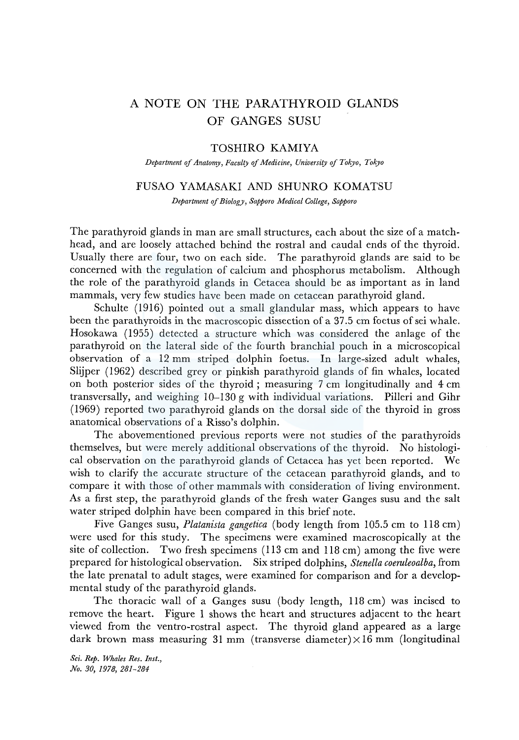# A NOTE ON THE PARATHYROID GLANDS OF GANGES SUSU

# TOSHIRO KAMIYA

*Department of Anatomy, Faculty of Medicine, University of Tokyo, Tokyo* 

## FUSAO YAMASAKI AND SHUNRO KOMATSU

*Department of Biology, Sapporo Medical College, Sapporo* 

The parathyroid glands in man are small structures, each about the size of a matchhead, and are loosely attached behind the rostral and caudal ends of the thyroid. Usually there are four, two on each side. The parathyroid glands are said to be concerned with the regulation of calcium and phosphorus metabolism. Although the role of the parathyroid glands in Cetacea should be as important as in land mammals, very few studies have been made on cetacean parathyroid gland.

Schulte (1916) pointed out a small glandular mass, which appears to have been the parathyroids in the macroscopic dissection of a 37.5 cm foetus of sei whale. Hosokawa (1955) detected a structure which was considered the anlage of the parathyroid on the lateral side of the fourth branchial pouch in a microscopical observation of a 12 mm striped dolphin foetus. In large-sized adult whales, Slijper (1962) described grey or pinkish parathyroid glands of fin whales, located on both posterior sides of the thyroid ; measuring 7 cm longitudinally and 4 cm transversally, and weighing 10-130 g with individual variations. Pilleri and Gihr (1969) reported two parathyroid glands on the dorsal side of the thyroid in gross anatomical observations of a Risso's dolphin.

The abovementioned previous reports were not studies of the parathyroids themselves, but were merely additional observations of the thyroid. No histological observation on the parathyroid glands of Cetacea has yet been reported. We wish to clarify the accurate structure of the cetacean parathyroid glands, and to compare it with those of other mammals with consideration of living environment. As a first step, the parathyroid glands of the fresh water Ganges susu and the salt water striped dolphin have been compared in this brief note.

Five Ganges susu, *Platanista gangetica* (body length from 105.5 cm to 118 cm) were used for this study. The specimens were examined macroscopically at the site of collection. Two fresh specimens ( 113 cm and 118 cm) among the five were prepared for histological observation. Six striped dolphins, *Stenella coeruleoalba,* from the late prenatal to adult stages, were examined for comparison and for a developmental study of the parathyroid glands.

The thoracic wall of a Ganges susu (body length, 118 cm) was incised to remove the heart. Figure 1 shows the heart and structures adjacent to the heart viewed from the ventro-rostral aspect. The thyroid gland appeared as a large dark brown mass measuring 31 mm (transverse diameter) $\times$ 16 mm (longitudinal

*Sci. Rep. Whales Res. Inst., No. 30, 1978, 281-284*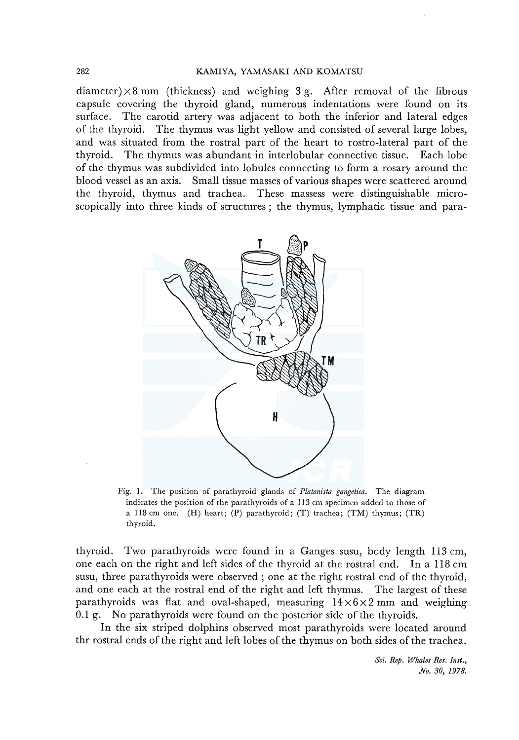diameter)  $\times$  8 mm (thickness) and weighing 3 g. After removal of the fibrous capsule covering the thyroid gland, numerous indentations were found on its surface. The carotid artery was adjacent to both the inferior and lateral edges of the thyroid. The thymus was light yellow and consisted of several large lobes, and was situated from the rostral part of the heart to rostro-lateral part of the thyroid. The thymus was abundant in interlobular connective tissue. Each lobe of the thymus was subdivided into lobules connecting to form a rosary around the blood vessel as an axis. Small tissue masses of various shapes were scattered around the thyroid, thymus and trachea. These massess were distinguishable microscopically into three kinds of structures ; the thymus, lymphatic tissue and para-



Fig. I. The position of parathyroid glands of *Platanista gangetica.* The diagram indicates the position of the parathyroids of a 113 cm specimen added to those of a 118 cm one. (H) heart; (P) parathyroid; (T) trachea; (TM) thymus; (TR) thyroid.

thyroid. Two parathyroids were found in a Ganges susu, body length 113 cm, one each on the right and left sides of the thyroid at the rostral end. In a 118 cm susu, three parathyroids were observed ; one at the right rostral end of the thyroid, and one each at the rostral end of the right and left thymus. The largest of these parathyroids was flat and oval-shaped, measuring  $14 \times 6 \times 2$  mm and weighing 0.1 g. No parathyroids were found on the posterior side of the thyroids.

In the six striped dolphins observed most parathyroids were located around thr rostral ends of the right and left lobes of the thymus on both sides of the trachea.

> *Sci. Rep. Whales Res. Inst., No. 30, 1978.*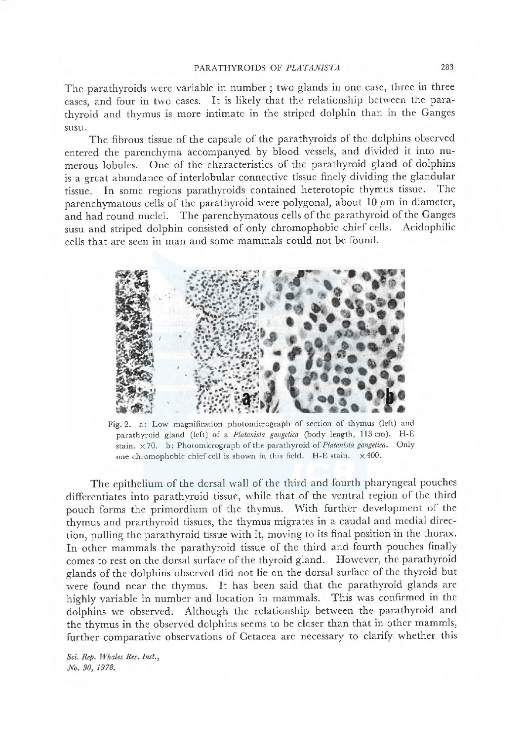The parathyroids were variable in number; two glands in one case, three in three cases, and four in two cases. It is likely that the relationship between the parathyroid and thymus is more intimate in the striped dolphin than in the Ganges susu.

The fibrous tissue of the capsule of the parathyroids of the dolphins observed entered the parenchyma accompanyed by blood vessels, and divided it into numerous lobules. One of the characteristics of the parathyroid gland of dolphins is a great abundance of interlobular connective tissue finely dividing the glandular tissue. In some regions parathyroids contained heterotopic thymus tissue. The parenchymatous cells of the parathyroid were polygonal, about 10  $\mu$ m in diameter, and had round nuclei. The parenchymatous cells of the parathyroid of the Ganges susu and striped dolphin consisted of only chromophobic chief cels. Acidophilic cells that are seen in man and some mammals could not be found.



Fig. 2. a: Low magnification photomicrograph of section of thymus (left) and parathyroid gland (left) of a Platanista gangetica (body length, 113 cm). H-E stain.  $\times$  70. b: Photomicrograph of the parathyroid of Platanista gangetica. Only one chromophobic chief cell is shown in this field. H-E stain.  $\times$  400.

The epithelium of the dorsal wall of the third and fourth pharyngeal pouches differentiates into parathyroid tissue, while that of the ventral region of the third pouch forms the primordium of the thymus. With further development of the thymus and prarthyroid tissues, the thymus migrates in a caudal and medial direction, pulling the parathyroid tissue with it, moving to its final position in the thorax. In other mammals the parathyroid tissue of the third and fourth pouches finally comes to rest on the dorsal surface of the thyroid gland. However, the parathyroid <sup>g</sup>lands of the dolphins observed did not lie on the dorsal surface of the thyroid but were found near the thymus. It has been said that the parathyroid glands are highly variable in number and location in mammals. This was confirmed in the dolphins we observed. Although the relationship between the parathyroid and the thymus in the observed dolphins seems to be closer than that in other mammls, further comparative observations of Cetacea are necessary to clarify whether this

Sci. Rep. Whales Res. Inst., No. 30, 1978.